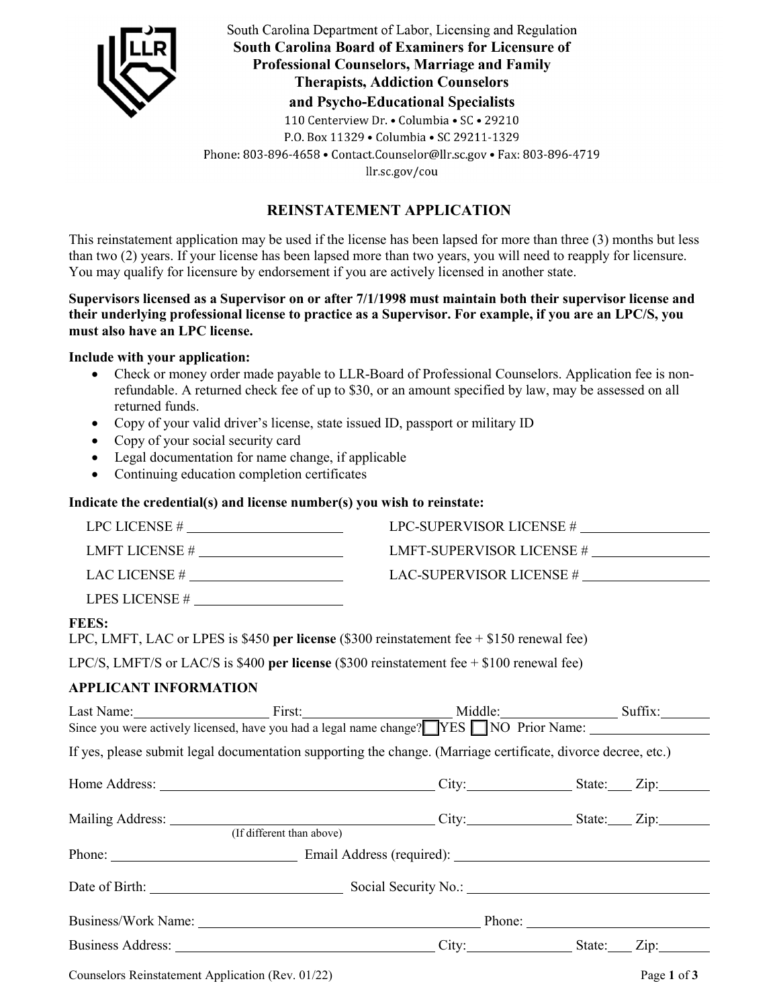

South Carolina Department of Labor, Licensing and Regulation **South Carolina Board of Examiners for Licensure of Professional Counselors, Marriage and Family Therapists, Addiction Counselors** and Psycho-Educational Specialists

110 Centerview Dr. . Columbia . SC . 29210

P.O. Box 11329 . Columbia . SC 29211-1329

Phone: 803-896-4658 · Contact.Counselor@llr.sc.gov · Fax: 803-896-4719

llr.sc.gov/cou

# **REINSTATEMENT APPLICATION**

This reinstatement application may be used if the license has been lapsed for more than three (3) months but less than two (2) years. If your license has been lapsed more than two years, you will need to reapply for licensure. You may qualify for licensure by endorsement if you are actively licensed in another state.

**Supervisors licensed as a Supervisor on or after 7/1/1998 must maintain both their supervisor license and their underlying professional license to practice as a Supervisor. For example, if you are an LPC/S, you must also have an LPC license.** 

## **Include with your application:**

- Check or money order made payable to LLR-Board of Professional Counselors. Application fee is nonrefundable. A returned check fee of up to \$30, or an amount specified by law, may be assessed on all returned funds.
- Copy of your valid driver's license, state issued ID, passport or military ID
- Copy of your social security card
- Legal documentation for name change, if applicable
- Continuing education completion certificates

# **Indicate the credential(s) and license number(s) you wish to reinstate:**

|                                                                                                                          | LMFT-SUPERVISOR LICENSE # |             |
|--------------------------------------------------------------------------------------------------------------------------|---------------------------|-------------|
|                                                                                                                          |                           |             |
|                                                                                                                          |                           |             |
| <b>FEES:</b><br>LPC, LMFT, LAC or LPES is \$450 per license (\$300 reinstatement fee $+$ \$150 renewal fee)              |                           |             |
| LPC/S, LMFT/S or LAC/S is \$400 per license (\$300 reinstatement fee $+$ \$100 renewal fee)                              |                           |             |
| <b>APPLICANT INFORMATION</b>                                                                                             |                           |             |
| Last Name: First: Middle: Since you were actively licensed, have you had a legal name change? NES NO Prior Name: Suffix: |                           |             |
| If yes, please submit legal documentation supporting the change. (Marriage certificate, divorce decree, etc.)            |                           |             |
|                                                                                                                          |                           |             |
|                                                                                                                          |                           |             |
| (If different than above)                                                                                                |                           |             |
|                                                                                                                          |                           |             |
|                                                                                                                          |                           |             |
|                                                                                                                          |                           |             |
| Business Address: City: City: State: Zip: Zip:                                                                           |                           |             |
| Counselors Reinstatement Application (Rev. 01/22)                                                                        |                           | Page 1 of 3 |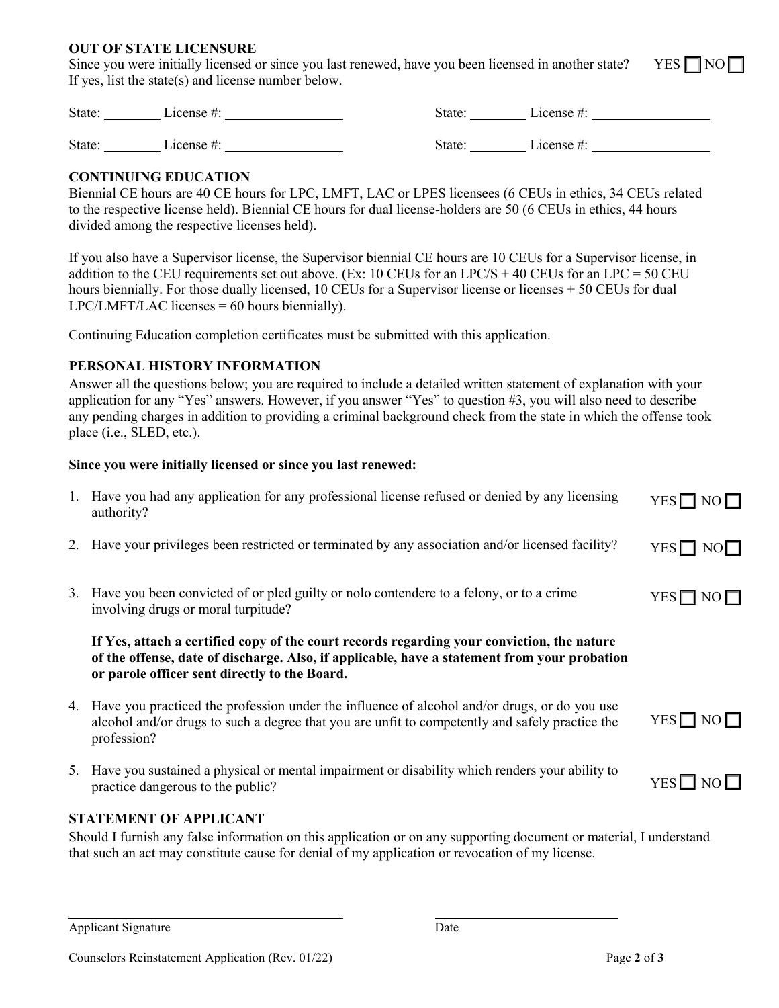#### **OUT OF STATE LICENSURE**

Since you were initially licensed or since you last renewed, have you been licensed in another state? YES  $\Box$  NO  $\Box$ If yes, list the state(s) and license number below.

State: License #: License #: State: License #: State: License #: License = State: License +: License +: License +: License +: License +: License +: License +: License +: License +: License +: License +: License +: License +: License +: License +: License +: License +:

## **CONTINUING EDUCATION**

Biennial CE hours are 40 CE hours for LPC, LMFT, LAC or LPES licensees (6 CEUs in ethics, 34 CEUs related to the respective license held). Biennial CE hours for dual license-holders are 50 (6 CEUs in ethics, 44 hours divided among the respective licenses held).

If you also have a Supervisor license, the Supervisor biennial CE hours are 10 CEUs for a Supervisor license, in addition to the CEU requirements set out above. (Ex: 10 CEUs for an LPC/S + 40 CEUs for an LPC = 50 CEU hours biennially. For those dually licensed, 10 CEUs for a Supervisor license or licenses + 50 CEUs for dual  $LPC/LMFT/LAC$  licenses = 60 hours biennially).

Continuing Education completion certificates must be submitted with this application.

## **PERSONAL HISTORY INFORMATION**

Answer all the questions below; you are required to include a detailed written statement of explanation with your application for any "Yes" answers. However, if you answer "Yes" to question #3, you will also need to describe any pending charges in addition to providing a criminal background check from the state in which the offense took place (i.e., SLED, etc.).

#### **Since you were initially licensed or since you last renewed:**

|                                                                                                                                                                                                                                                        | 1. Have you had any application for any professional license refused or denied by any licensing<br>authority?                                                                                                                               | $YES \Box NO \Box$ |  |
|--------------------------------------------------------------------------------------------------------------------------------------------------------------------------------------------------------------------------------------------------------|---------------------------------------------------------------------------------------------------------------------------------------------------------------------------------------------------------------------------------------------|--------------------|--|
|                                                                                                                                                                                                                                                        | 2. Have your privileges been restricted or terminated by any association and/or licensed facility?                                                                                                                                          | $YES \Box NO \Box$ |  |
|                                                                                                                                                                                                                                                        | 3. Have you been convicted of or pled guilty or not contendere to a felony, or to a crime<br>involving drugs or moral turpitude?                                                                                                            | $YES \Box NO \Box$ |  |
|                                                                                                                                                                                                                                                        | If Yes, attach a certified copy of the court records regarding your conviction, the nature<br>of the offense, date of discharge. Also, if applicable, have a statement from your probation<br>or parole officer sent directly to the Board. |                    |  |
|                                                                                                                                                                                                                                                        | 4. Have you practiced the profession under the influence of alcohol and/or drugs, or do you use<br>alcohol and/or drugs to such a degree that you are unfit to competently and safely practice the<br>profession?                           | $YES \Box NO \Box$ |  |
|                                                                                                                                                                                                                                                        | 5. Have you sustained a physical or mental impairment or disability which renders your ability to<br>practice dangerous to the public?                                                                                                      | $YES \Box NO \Box$ |  |
| <b>STATEMENT OF APPLICANT</b><br>Should I furnish any false information on this application or on any supporting document or material, I understand<br>that such an act may constitute cause for denial of my application or revocation of my license. |                                                                                                                                                                                                                                             |                    |  |

| Applicant Signature | Date |
|---------------------|------|
|                     |      |